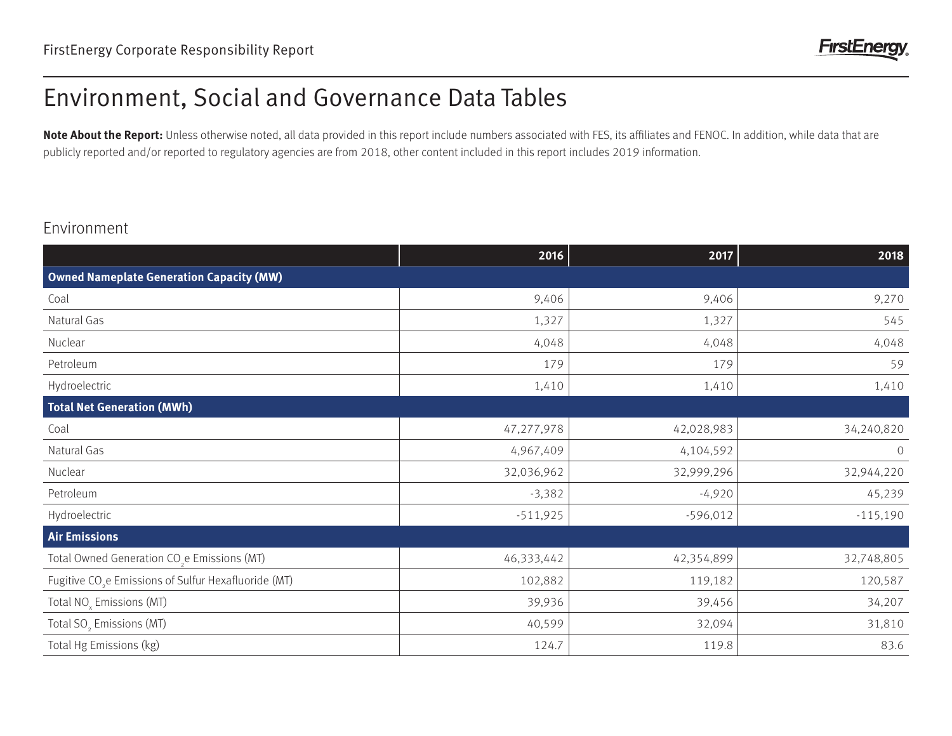# Environment, Social and Governance Data Tables

Note About the Report: Unless otherwise noted, all data provided in this report include numbers associated with FES, its affiliates and FENOC. In addition, while data that are publicly reported and/or reported to regulatory agencies are from 2018, other content included in this report includes 2019 information.

#### Environment

|                                                                  | 2016       | 2017       | 2018       |  |
|------------------------------------------------------------------|------------|------------|------------|--|
| <b>Owned Nameplate Generation Capacity (MW)</b>                  |            |            |            |  |
| Coal                                                             | 9,406      | 9,406      | 9,270      |  |
| Natural Gas                                                      | 1,327      | 1,327      | 545        |  |
| Nuclear                                                          | 4,048      | 4,048      | 4,048      |  |
| Petroleum                                                        | 179        | 179        | 59         |  |
| Hydroelectric                                                    | 1,410      | 1,410      | 1,410      |  |
| <b>Total Net Generation (MWh)</b>                                |            |            |            |  |
| Coal                                                             | 47,277,978 | 42,028,983 | 34,240,820 |  |
| Natural Gas                                                      | 4,967,409  | 4,104,592  | $\circ$    |  |
| Nuclear                                                          | 32,036,962 | 32,999,296 | 32,944,220 |  |
| Petroleum                                                        | $-3,382$   | $-4,920$   | 45,239     |  |
| Hydroelectric                                                    | $-511,925$ | $-596,012$ | $-115,190$ |  |
| <b>Air Emissions</b>                                             |            |            |            |  |
| Total Owned Generation CO <sub>2</sub> e Emissions (MT)          | 46,333,442 | 42,354,899 | 32,748,805 |  |
| Fugitive CO <sub>2</sub> e Emissions of Sulfur Hexafluoride (MT) | 102,882    | 119,182    | 120,587    |  |
| Total NO <sub>x</sub> Emissions (MT)                             | 39,936     | 39,456     | 34,207     |  |
| Total SO <sub>2</sub> Emissions (MT)                             | 40,599     | 32,094     | 31,810     |  |
| Total Hg Emissions (kg)                                          | 124.7      | 119.8      | 83.6       |  |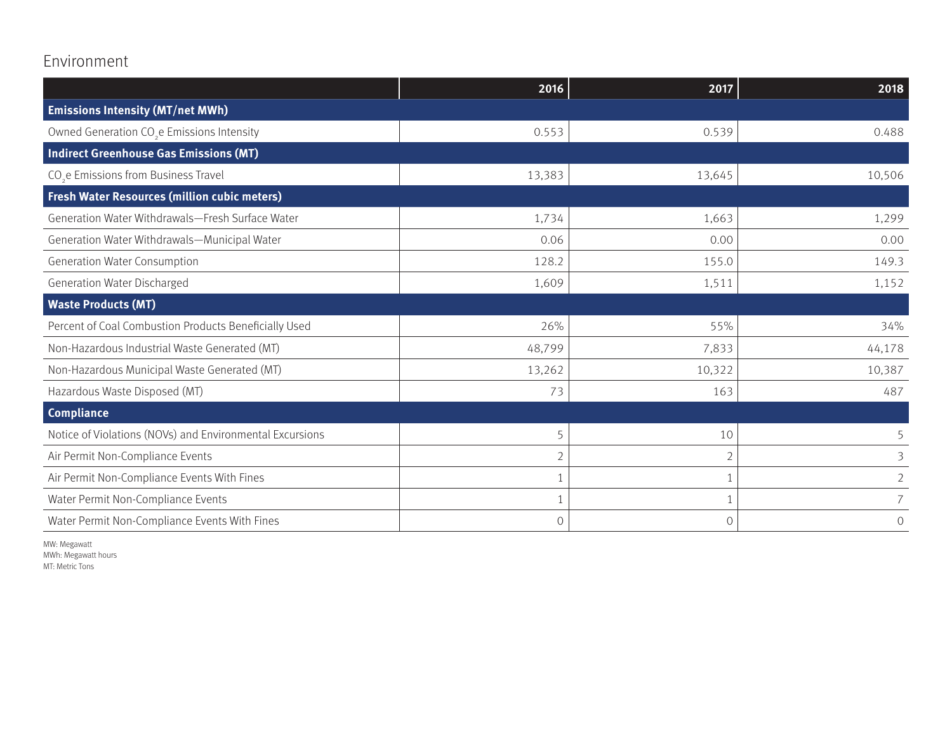### Environment

|                                                          | 2016           | 2017           | 2018           |
|----------------------------------------------------------|----------------|----------------|----------------|
| <b>Emissions Intensity (MT/net MWh)</b>                  |                |                |                |
| Owned Generation CO <sub>2</sub> e Emissions Intensity   | 0.553          | 0.539          | 0.488          |
| Indirect Greenhouse Gas Emissions (MT)                   |                |                |                |
| CO <sub>2</sub> e Emissions from Business Travel         | 13,383         | 13,645         | 10,506         |
| <b>Fresh Water Resources (million cubic meters)</b>      |                |                |                |
| Generation Water Withdrawals-Fresh Surface Water         | 1,734          | 1,663          | 1,299          |
| Generation Water Withdrawals-Municipal Water             | 0.06           | 0.00           | 0.00           |
| Generation Water Consumption                             | 128.2          | 155.0          | 149.3          |
| Generation Water Discharged                              | 1,609          | 1,511          | 1,152          |
| <b>Waste Products (MT)</b>                               |                |                |                |
| Percent of Coal Combustion Products Beneficially Used    | 26%            | 55%            | 34%            |
| Non-Hazardous Industrial Waste Generated (MT)            | 48,799         | 7,833          | 44,178         |
| Non-Hazardous Municipal Waste Generated (MT)             | 13,262         | 10,322         | 10,387         |
| Hazardous Waste Disposed (MT)                            | 73             | 163            | 487            |
| <b>Compliance</b>                                        |                |                |                |
| Notice of Violations (NOVs) and Environmental Excursions | 5              | 10             | 5              |
| Air Permit Non-Compliance Events                         | $\overline{2}$ |                | 3              |
| Air Permit Non-Compliance Events With Fines              |                |                | $\overline{2}$ |
| Water Permit Non-Compliance Events                       | -1             |                | 7              |
| Water Permit Non-Compliance Events With Fines            | $\circ$        | $\overline{O}$ | $\overline{O}$ |

MW: Megawatt MWh: Megawatt hours MT: Metric Tons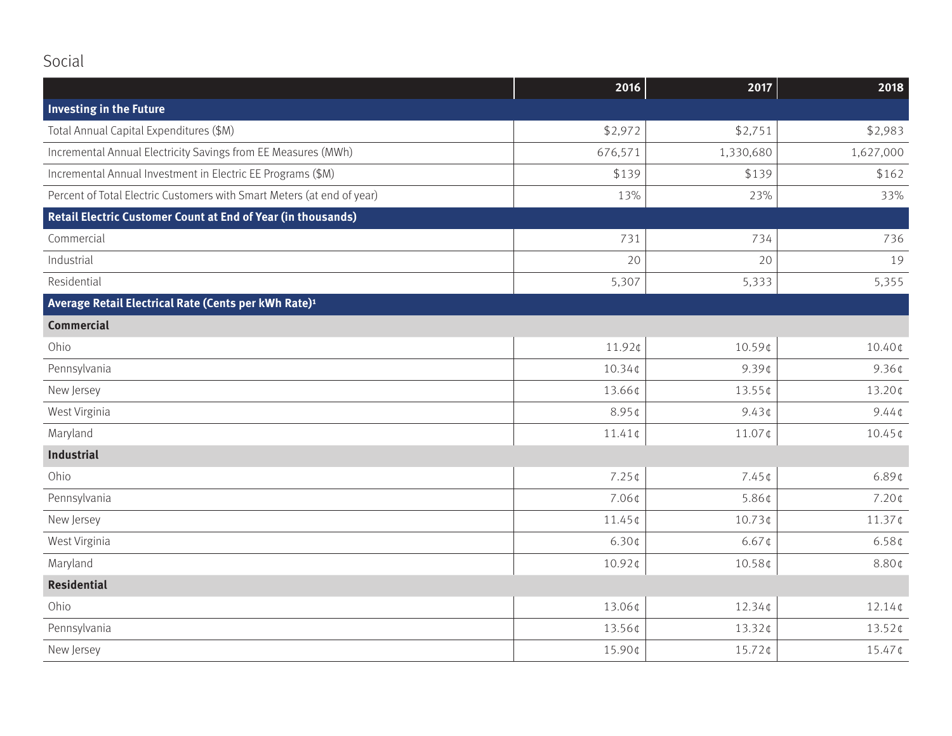## Social

|                                                                        | 2016               | 2017      | 2018                       |
|------------------------------------------------------------------------|--------------------|-----------|----------------------------|
| Investing in the Future                                                |                    |           |                            |
| Total Annual Capital Expenditures (\$M)                                | \$2,972            | \$2,751   | \$2,983                    |
| Incremental Annual Electricity Savings from EE Measures (MWh)          | 676,571            | 1,330,680 | 1,627,000                  |
| Incremental Annual Investment in Electric EE Programs (\$M)            | \$139              | \$139     | \$162                      |
| Percent of Total Electric Customers with Smart Meters (at end of year) | 13%                | 23%       | 33%                        |
| Retail Electric Customer Count at End of Year (in thousands)           |                    |           |                            |
| Commercial                                                             | 731                | 734       | 736                        |
| Industrial                                                             | 20                 | 20        | 19                         |
| Residential                                                            | 5,307              | 5,333     | 5,355                      |
| Average Retail Electrical Rate (Cents per kWh Rate) <sup>1</sup>       |                    |           |                            |
| <b>Commercial</b>                                                      |                    |           |                            |
| Ohio                                                                   | 11.92¢             | 10.59¢    | 10.40¢                     |
| Pennsylvania                                                           | 10.34¢             | $9.39$ ¢  | 9.36 <sub>¢</sub>          |
| New Jersey                                                             | 13.66¢             | 13.55¢    | 13.20¢                     |
| West Virginia                                                          | 8.95¢              | $9.43$ ¢  | $9.44 \, \text{C}$         |
| Maryland                                                               | $11.41 \text{C}$   | 11.07¢    | $10.45 \text{ }\mathsf{C}$ |
| Industrial                                                             |                    |           |                            |
| Ohio                                                                   | $7.25$ ¢           | $7.45$ ¢  | $6.89$ ¢                   |
| Pennsylvania                                                           | 7.06¢              | 5.86¢     | $7.20$ ¢                   |
| New Jersey                                                             | $11.45$ ¢          | 10.73¢    | $11.37$ ¢                  |
| West Virginia                                                          | $6.30 \, \text{C}$ | $6.67$ ¢  | 6.58 <sub>¢</sub>          |
| Maryland                                                               | 10.92¢             | 10.58¢    | 8.80¢                      |
| <b>Residential</b>                                                     |                    |           |                            |
| Ohio                                                                   | 13.06¢             | 12.34¢    | $12.14$ ¢                  |
| Pennsylvania                                                           | 13.56¢             | 13.32¢    | $13.52$ ¢                  |
| New Jersey                                                             | 15.90¢             | 15.72¢    | 15.47¢                     |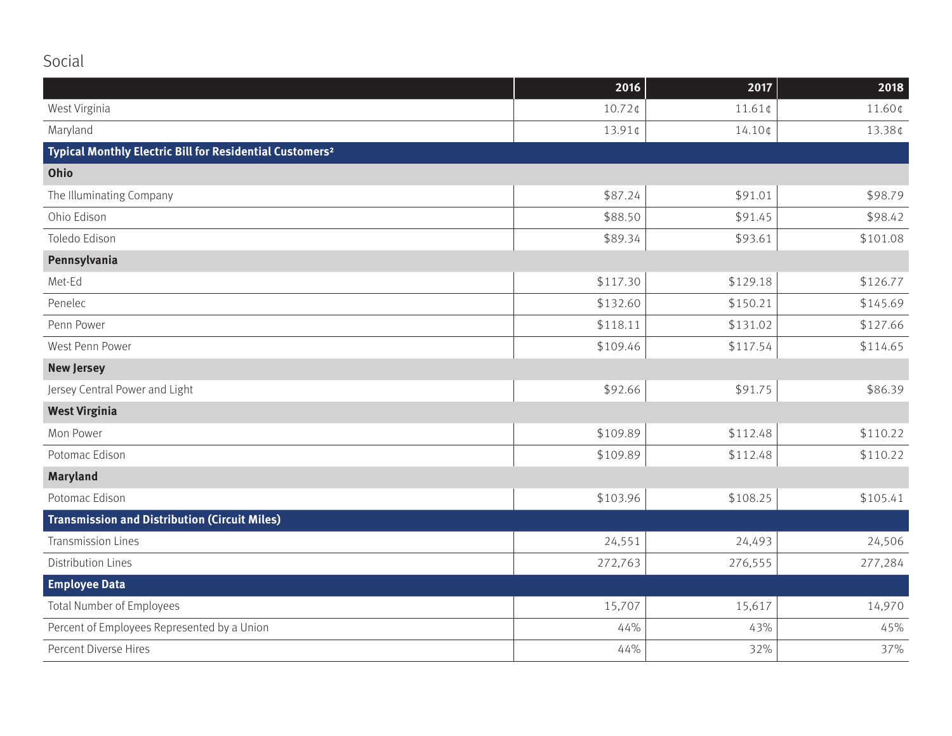## Social

|                                                                      | 2016      | 2017     | 2018     |
|----------------------------------------------------------------------|-----------|----------|----------|
| West Virginia                                                        | $10.72$ ¢ | 11.61¢   | 11.60¢   |
| Maryland                                                             | 13.91¢    | 14.10¢   | 13.38¢   |
| Typical Monthly Electric Bill for Residential Customers <sup>2</sup> |           |          |          |
| Ohio                                                                 |           |          |          |
| The Illuminating Company                                             | \$87.24   | \$91.01  | \$98.79  |
| Ohio Edison                                                          | \$88.50   | \$91.45  | \$98.42  |
| Toledo Edison                                                        | \$89.34   | \$93.61  | \$101.08 |
| Pennsylvania                                                         |           |          |          |
| Met-Ed                                                               | \$117.30  | \$129.18 | \$126.77 |
| Penelec                                                              | \$132.60  | \$150.21 | \$145.69 |
| Penn Power                                                           | \$118.11  | \$131.02 | \$127.66 |
| West Penn Power                                                      | \$109.46  | \$117.54 | \$114.65 |
| <b>New Jersey</b>                                                    |           |          |          |
| Jersey Central Power and Light                                       | \$92.66   | \$91.75  | \$86.39  |
| <b>West Virginia</b>                                                 |           |          |          |
| Mon Power                                                            | \$109.89  | \$112.48 | \$110.22 |
| Potomac Edison                                                       | \$109.89  | \$112.48 | \$110.22 |
| <b>Maryland</b>                                                      |           |          |          |
| Potomac Edison                                                       | \$103.96  | \$108.25 | \$105.41 |
| <b>Transmission and Distribution (Circuit Miles)</b>                 |           |          |          |
| <b>Transmission Lines</b>                                            | 24,551    | 24,493   | 24,506   |
| <b>Distribution Lines</b>                                            | 272,763   | 276,555  | 277,284  |
| <b>Employee Data</b>                                                 |           |          |          |
| <b>Total Number of Employees</b>                                     | 15,707    | 15,617   | 14,970   |
| Percent of Employees Represented by a Union                          | 44%       | 43%      | 45%      |
| Percent Diverse Hires                                                | 44%       | 32%      | 37%      |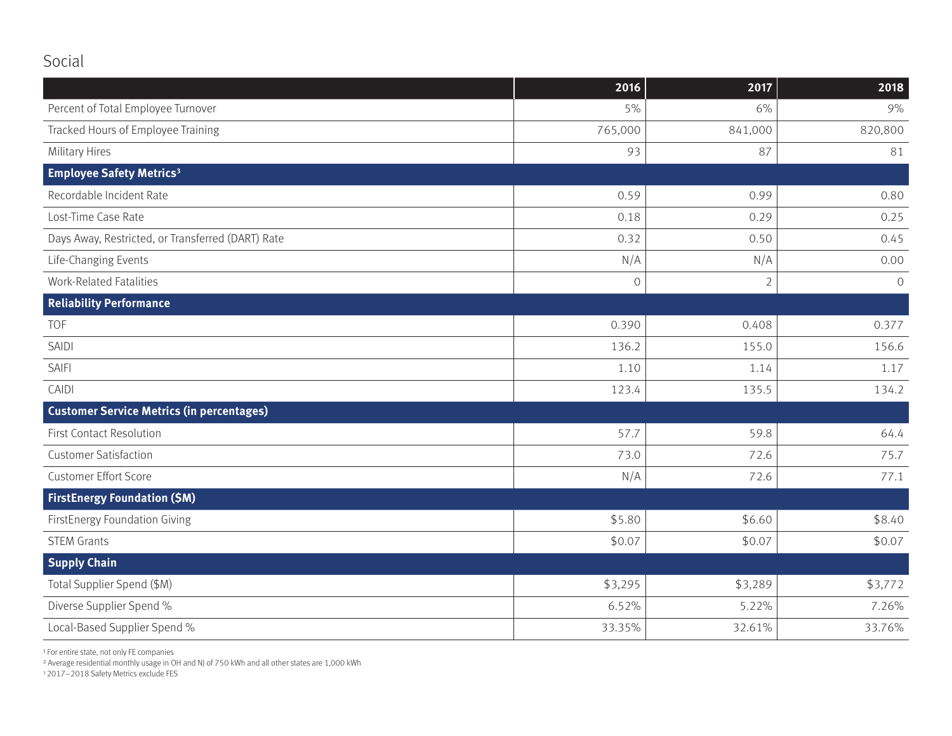### Social

|                                                   | 2016         | 2017           | 2018          |
|---------------------------------------------------|--------------|----------------|---------------|
| Percent of Total Employee Turnover                | 5%           | 6%             | 9%            |
| Tracked Hours of Employee Training                | 765,000      | 841,000        | 820,800       |
| <b>Military Hires</b>                             | 93           | 87             | 81            |
| <b>Employee Safety Metrics<sup>3</sup></b>        |              |                |               |
| Recordable Incident Rate                          | 0.59         | 0.99           | 0.80          |
| Lost-Time Case Rate                               | 0.18         | 0.29           | 0.25          |
| Days Away, Restricted, or Transferred (DART) Rate | 0.32         | 0.50           | 0.45          |
| Life-Changing Events                              | N/A          | N/A            | 0.00          |
| <b>Work-Related Fatalities</b>                    | $\mathbf 0$  | $\overline{2}$ | $\mathcal{O}$ |
| <b>Reliability Performance</b>                    |              |                |               |
| TOF                                               | 0.390        | 0.408          | 0.377         |
| <b>SAIDI</b>                                      | 136.2        | 155.0          | 156.6         |
| <b>SAIFI</b>                                      | 1.10         | 1.14           | 1.17          |
| CAIDI                                             | 123.4        | 135.5          | 134.2         |
| <b>Customer Service Metrics (in percentages)</b>  |              |                |               |
| <b>First Contact Resolution</b>                   | 57.7         | 59.8           | 64.4          |
| <b>Customer Satisfaction</b>                      | 73.0<br>72.6 |                | 75.7          |
| <b>Customer Effort Score</b>                      | N/A          | 72.6           | 77.1          |
| <b>FirstEnergy Foundation (\$M)</b>               |              |                |               |
| <b>FirstEnergy Foundation Giving</b>              | \$5.80       | \$6.60         | \$8.40        |
| <b>STEM Grants</b>                                | \$0.07       | \$0.07         | \$0.07        |
| <b>Supply Chain</b>                               |              |                |               |
| Total Supplier Spend (\$M)                        | \$3,295      | \$3,289        | \$3,772       |
| Diverse Supplier Spend %                          | 6.52%        | 5.22%          | 7.26%         |
| Local-Based Supplier Spend %                      | 33.35%       | 32.61%         | 33.76%        |

1 For entire state, not only FE companies

² Average residential monthly usage in OH and NJ of 750 kWh and all other states are 1,000 kWh

3 2017–2018 Safety Metrics exclude FES